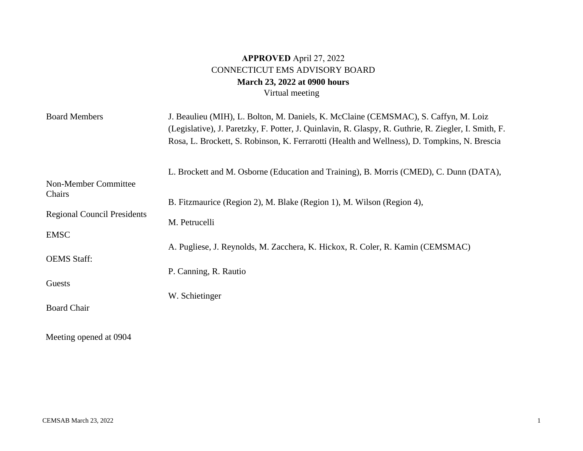## **APPROVED** April 27, 2022 CONNECTICUT EMS ADVISORY BOARD **March 23, 2022 at 0900 hours**  Virtual meeting

| <b>Board Members</b>               | J. Beaulieu (MIH), L. Bolton, M. Daniels, K. McClaine (CEMSMAC), S. Caffyn, M. Loiz<br>(Legislative), J. Paretzky, F. Potter, J. Quinlavin, R. Glaspy, R. Guthrie, R. Ziegler, I. Smith, F.<br>Rosa, L. Brockett, S. Robinson, K. Ferrarotti (Health and Wellness), D. Tompkins, N. Brescia |
|------------------------------------|---------------------------------------------------------------------------------------------------------------------------------------------------------------------------------------------------------------------------------------------------------------------------------------------|
|                                    | L. Brockett and M. Osborne (Education and Training), B. Morris (CMED), C. Dunn (DATA),                                                                                                                                                                                                      |
| Non-Member Committee               |                                                                                                                                                                                                                                                                                             |
| Chairs                             | B. Fitzmaurice (Region 2), M. Blake (Region 1), M. Wilson (Region 4),                                                                                                                                                                                                                       |
| <b>Regional Council Presidents</b> | M. Petrucelli                                                                                                                                                                                                                                                                               |
| <b>EMSC</b>                        |                                                                                                                                                                                                                                                                                             |
|                                    | A. Pugliese, J. Reynolds, M. Zacchera, K. Hickox, R. Coler, R. Kamin (CEMSMAC)                                                                                                                                                                                                              |
| <b>OEMS</b> Staff:                 |                                                                                                                                                                                                                                                                                             |
|                                    | P. Canning, R. Rautio                                                                                                                                                                                                                                                                       |
| Guests                             |                                                                                                                                                                                                                                                                                             |
|                                    | W. Schietinger                                                                                                                                                                                                                                                                              |
| <b>Board Chair</b>                 |                                                                                                                                                                                                                                                                                             |
| Meeting opened at 0904             |                                                                                                                                                                                                                                                                                             |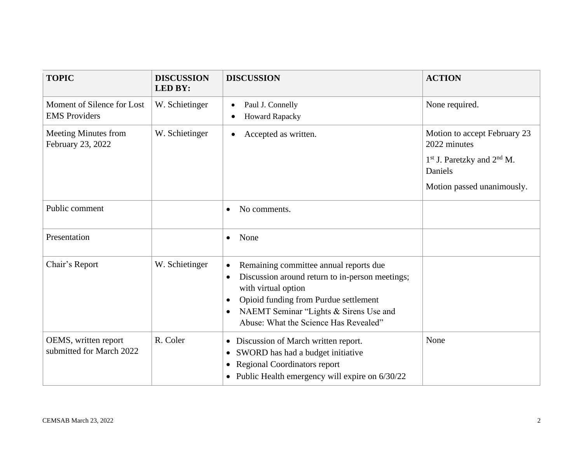| <b>TOPIC</b>                                       | <b>DISCUSSION</b><br><b>LED BY:</b> | <b>DISCUSSION</b>                                                                                                                                                                                                                                                                   | <b>ACTION</b>                                                                                                           |
|----------------------------------------------------|-------------------------------------|-------------------------------------------------------------------------------------------------------------------------------------------------------------------------------------------------------------------------------------------------------------------------------------|-------------------------------------------------------------------------------------------------------------------------|
| Moment of Silence for Lost<br><b>EMS</b> Providers | W. Schietinger                      | Paul J. Connelly<br>$\bullet$<br><b>Howard Rapacky</b>                                                                                                                                                                                                                              | None required.                                                                                                          |
| Meeting Minutes from<br>February 23, 2022          | W. Schietinger                      | Accepted as written.                                                                                                                                                                                                                                                                | Motion to accept February 23<br>2022 minutes<br>$1st$ J. Paretzky and $2nd$ M.<br>Daniels<br>Motion passed unanimously. |
| Public comment                                     |                                     | No comments.                                                                                                                                                                                                                                                                        |                                                                                                                         |
| Presentation                                       |                                     | None<br>$\bullet$                                                                                                                                                                                                                                                                   |                                                                                                                         |
| Chair's Report                                     | W. Schietinger                      | Remaining committee annual reports due<br>$\bullet$<br>Discussion around return to in-person meetings;<br>with virtual option<br>Opioid funding from Purdue settlement<br>$\bullet$<br>NAEMT Seminar "Lights & Sirens Use and<br>$\bullet$<br>Abuse: What the Science Has Revealed" |                                                                                                                         |
| OEMS, written report<br>submitted for March 2022   | R. Coler                            | • Discussion of March written report.<br>SWORD has had a budget initiative<br>$\bullet$<br>• Regional Coordinators report<br>• Public Health emergency will expire on $6/30/22$                                                                                                     | None                                                                                                                    |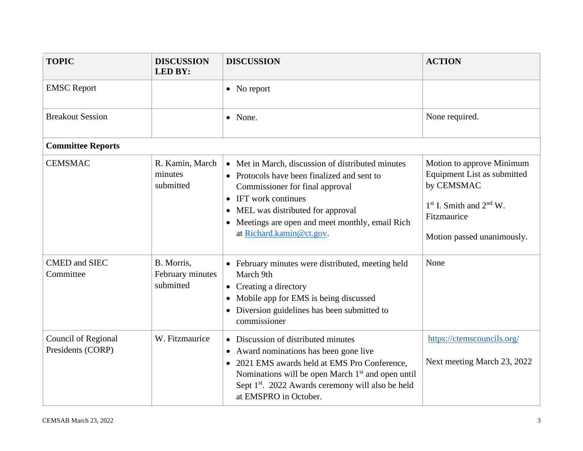| <b>TOPIC</b>                             | <b>DISCUSSION</b><br><b>LED BY:</b>         | <b>DISCUSSION</b>                                                                                                                                                                                                                                                                          | <b>ACTION</b>                                                                                                                                      |
|------------------------------------------|---------------------------------------------|--------------------------------------------------------------------------------------------------------------------------------------------------------------------------------------------------------------------------------------------------------------------------------------------|----------------------------------------------------------------------------------------------------------------------------------------------------|
| <b>EMSC</b> Report                       |                                             | $\bullet$ No report                                                                                                                                                                                                                                                                        |                                                                                                                                                    |
| <b>Breakout Session</b>                  |                                             | • None.                                                                                                                                                                                                                                                                                    | None required.                                                                                                                                     |
| <b>Committee Reports</b>                 |                                             |                                                                                                                                                                                                                                                                                            |                                                                                                                                                    |
| <b>CEMSMAC</b>                           | R. Kamin, March<br>minutes<br>submitted     | • Met in March, discussion of distributed minutes<br>• Protocols have been finalized and sent to<br>Commissioner for final approval<br>IFT work continues<br>MEL was distributed for approval<br>$\bullet$<br>• Meetings are open and meet monthly, email Rich<br>at Richard.kamin@ct.gov. | Motion to approve Minimum<br>Equipment List as submitted<br>by CEMSMAC<br>$1st$ I. Smith and $2nd$ W.<br>Fitzmaurice<br>Motion passed unanimously. |
| <b>CMED</b> and SIEC<br>Committee        | B. Morris,<br>February minutes<br>submitted | • February minutes were distributed, meeting held<br>March 9th<br>• Creating a directory<br>• Mobile app for EMS is being discussed<br>• Diversion guidelines has been submitted to<br>commissioner                                                                                        | None                                                                                                                                               |
| Council of Regional<br>Presidents (CORP) | W. Fitzmaurice                              | • Discussion of distributed minutes<br>• Award nominations has been gone live<br>• 2021 EMS awards held at EMS Pro Conference,<br>Nominations will be open March 1 <sup>st</sup> and open until<br>Sept 1 <sup>st</sup> . 2022 Awards ceremony will also be held<br>at EMSPRO in October.  | https://ctemscouncils.org/<br>Next meeting March 23, 2022                                                                                          |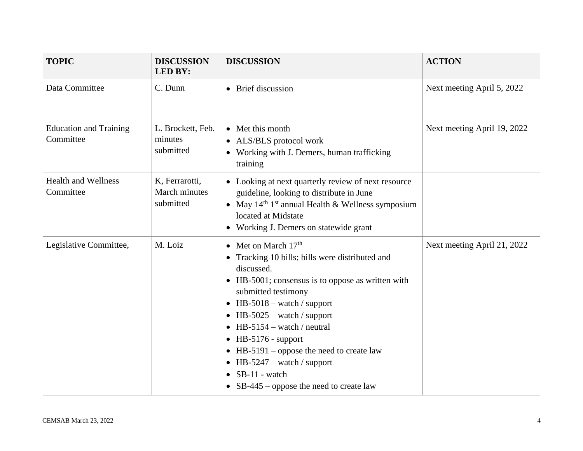| <b>TOPIC</b>                               | <b>DISCUSSION</b><br><b>LED BY:</b>          | <b>DISCUSSION</b>                                                                                                                                                                                                                                                                                                                                                                                                                                                           | <b>ACTION</b>               |
|--------------------------------------------|----------------------------------------------|-----------------------------------------------------------------------------------------------------------------------------------------------------------------------------------------------------------------------------------------------------------------------------------------------------------------------------------------------------------------------------------------------------------------------------------------------------------------------------|-----------------------------|
| Data Committee                             | C. Dunn                                      | • Brief discussion                                                                                                                                                                                                                                                                                                                                                                                                                                                          | Next meeting April 5, 2022  |
| <b>Education and Training</b><br>Committee | L. Brockett, Feb.<br>minutes<br>submitted    | • Met this month<br>• ALS/BLS protocol work<br>• Working with J. Demers, human trafficking<br>training                                                                                                                                                                                                                                                                                                                                                                      | Next meeting April 19, 2022 |
| <b>Health and Wellness</b><br>Committee    | K, Ferrarotti,<br>March minutes<br>submitted | • Looking at next quarterly review of next resource<br>guideline, looking to distribute in June<br>• May $14th 1st$ annual Health & Wellness symposium<br>located at Midstate<br>• Working J. Demers on statewide grant                                                                                                                                                                                                                                                     |                             |
| Legislative Committee,                     | M. Loiz                                      | • Met on March $17th$<br>• Tracking 10 bills; bills were distributed and<br>discussed.<br>• HB-5001; consensus is to oppose as written with<br>submitted testimony<br>$\bullet$ HB-5018 – watch / support<br>$\bullet$ HB-5025 – watch / support<br>$\bullet$ HB-5154 – watch / neutral<br>$\bullet$ HB-5176 - support<br>• HB-5191 – oppose the need to create law<br>• HB-5247 – watch / support<br>$\bullet$ SB-11 - watch<br>• $SB-445$ – oppose the need to create law | Next meeting April 21, 2022 |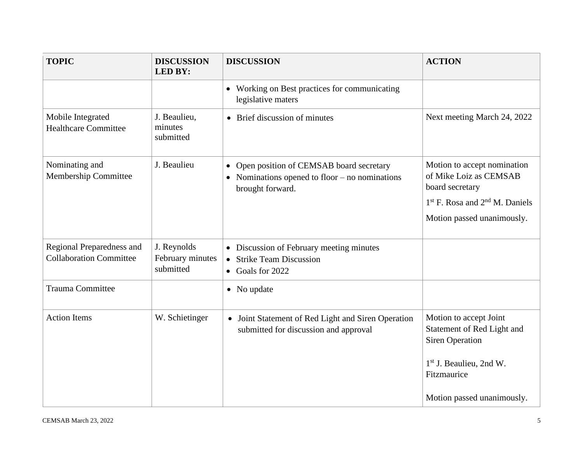| <b>TOPIC</b>                                                | <b>DISCUSSION</b><br><b>LED BY:</b>          | <b>DISCUSSION</b>                                                                                                 | <b>ACTION</b>                                                                  |
|-------------------------------------------------------------|----------------------------------------------|-------------------------------------------------------------------------------------------------------------------|--------------------------------------------------------------------------------|
|                                                             |                                              | • Working on Best practices for communicating<br>legislative maters                                               |                                                                                |
| Mobile Integrated<br><b>Healthcare Committee</b>            | J. Beaulieu,<br>minutes<br>submitted         | • Brief discussion of minutes                                                                                     | Next meeting March 24, 2022                                                    |
| Nominating and<br>Membership Committee                      | J. Beaulieu                                  | • Open position of CEMSAB board secretary<br>• Nominations opened to floor $-$ no nominations<br>brought forward. | Motion to accept nomination<br>of Mike Loiz as CEMSAB<br>board secretary       |
|                                                             |                                              |                                                                                                                   | $1st$ F. Rosa and $2nd$ M. Daniels<br>Motion passed unanimously.               |
| Regional Preparedness and<br><b>Collaboration Committee</b> | J. Reynolds<br>February minutes<br>submitted | • Discussion of February meeting minutes<br><b>Strike Team Discussion</b><br>• Goals for 2022                     |                                                                                |
| Trauma Committee                                            |                                              | • No update                                                                                                       |                                                                                |
| <b>Action Items</b>                                         | W. Schietinger                               | Joint Statement of Red Light and Siren Operation<br>$\bullet$<br>submitted for discussion and approval            | Motion to accept Joint<br>Statement of Red Light and<br><b>Siren Operation</b> |
|                                                             |                                              |                                                                                                                   | 1 <sup>st</sup> J. Beaulieu, 2nd W.<br>Fitzmaurice                             |
|                                                             |                                              |                                                                                                                   | Motion passed unanimously.                                                     |